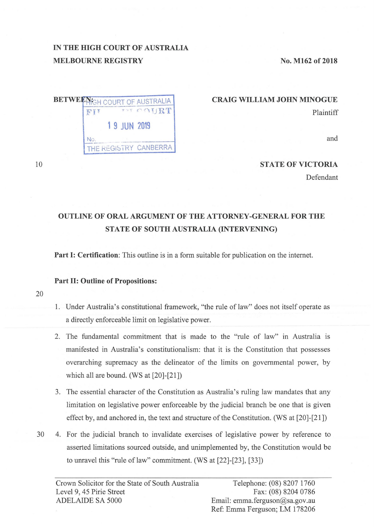# **IN THE HIGH COURT OF AUSTRALIA MELBOURNE REGISTRY**

**No. M162 of 2018** 

| <b>FLAN</b> |              | <b>BETWEEN: COURT OF AUSTRALIA</b><br>THE TABLE |
|-------------|--------------|-------------------------------------------------|
|             | 1 9 JUN 2019 |                                                 |
|             |              |                                                 |
|             |              | THE REGISTRY CANBERRA                           |

### **CRAIG WILLIAM JOHN MINOGUE**  Plaintiff

and

### **STATE OF VICTORIA**

Defendant

# **OUTLINE OF ORAL ARGUMENT OF THE ATTORNEY-GENERAL FOR THE STATE OF SOUTH AUSTRALIA (INTERVENING)**

**Part I: Certification:** This outline is in a form suitable for publication on the internet.

#### **Part II: Outline of Propositions:**

20

10

- 1. Under Australia's constitutional framework, "the rule of law" does not itself operate as a directly enforceable limit on legislative power.
- 2. The fundamental commitment that is made to the "rule of law" in Australia is manifested in Australia's constitutionalism: that it is the Constitution that possesses overarching supremacy as the delineator of the limits on governmental power, by which all are bound. (WS at [20]-[21])
- 3. The essential character of the Constitution as Australia's ruling law mandates that any limitation on legislative power enforceable by the judicial branch be one that is given effect by, and anchored in, the text and structure of the Constitution. (WS at [20]-[21])
- 30 4. For the judicial branch to invalidate exercises of legislative power by reference to asserted limitations sourced outside, and unimplemented by, the Constitution would be to unravel this "rule of law" commitment. (WS at  $[22]$ - $[23]$ ,  $[33]$ )